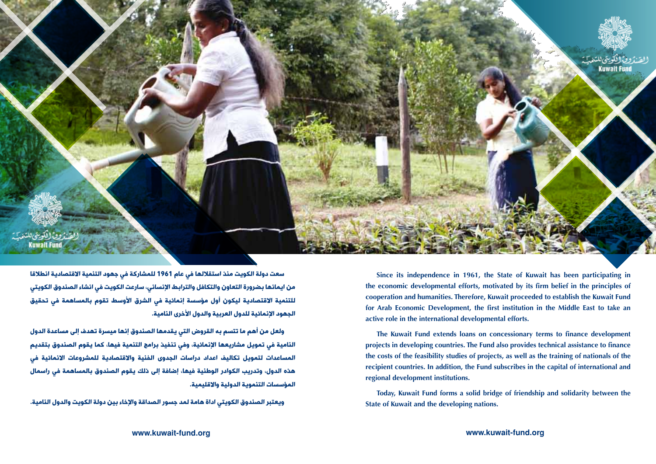

سعت دولة الكويت منذ استقلالها في عام 1961 للمشاركة في جهود التنمية الاقتصادية انطلاقا من ايمانها بضرورة التعاون والتكافل والترابط اإلنساني، سارعت الكويت في انشاء الصندوق الكويتي للتنمية الاقتصادية ليكون أول مؤسسة إنمائية في الشرق الأوسط تقوم بالمساهمة في تحقيق الجهود الإنمائية للدول العربية والدول الأخرى النامية.

ولعل من أهم ما تتسم به القروض التي يقدمها الصندوق إنها ميسرة تهدف إلى مساعدة الدول النامية في تمويل مشاريعها اإلنمائية، وفي تنفيذ برامج التنمية فيها، كما يقوم الصندوق بتقديم المساعدات لتمويل تكاليف اعداد دراسات الجدوى الفنية والاقتصادية للمشروعات الانمائية في هذه الدول، وتدريب الكوادر الوطنية فيها، إضافة إلى ذلك يقوم الصندوق بالمساهمة في راسمال المؤسسات التنموية الدولية واالقليمية.

ويعتبر الصندوق الكويتي اداة هامة لمد جسور الصداقة واإلخاء بين دولة الكويت والدول النامية.

Since its independence in 1961, the State of Kuwait has been participating in the economic developmental efforts, motivated by its firm belief in the principles of cooperation and humanities. Therefore, Kuwait proceeded to establish the Kuwait Fund for Arab Economic Development, the first institution in the Middle East to take an active role in the international developmental efforts.

The Kuwait Fund extends loans on concessionary terms to finance development projects in developing countries. The Fund also provides technical assistance to finance the costs of the feasibility studies of projects, as well as the training of nationals of the recipient countries. In addition, the Fund subscribes in the capital of international and regional development institutions.

Today, Kuwait Fund forms a solid bridge of friendship and solidarity between the **State of Kuwait and the developing nations.**